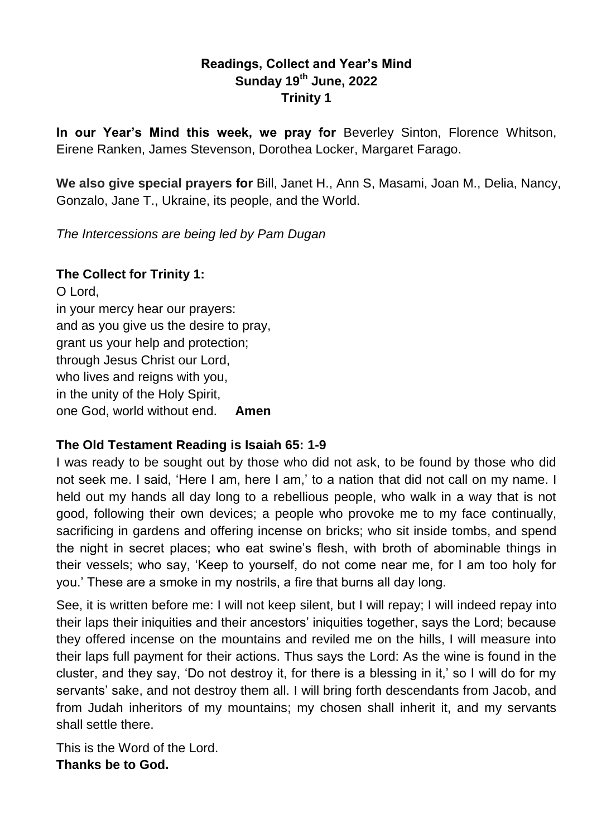## **Readings, Collect and Year's Mind Sunday 19th June, 2022 Trinity 1**

**In our Year's Mind this week, we pray for** Beverley Sinton, Florence Whitson, Eirene Ranken, James Stevenson, Dorothea Locker, Margaret Farago.

**We also give special prayers for** Bill, Janet H., Ann S, Masami, Joan M., Delia, Nancy, Gonzalo, Jane T., Ukraine, its people, and the World.

*The Intercessions are being led by Pam Dugan*

#### **The Collect for Trinity 1:**

O Lord, in your mercy hear our prayers: and as you give us the desire to pray, grant us your help and protection; through Jesus Christ our Lord, who lives and reigns with you, in the unity of the Holy Spirit, one God, world without end. **Amen**

## **The Old Testament Reading is Isaiah 65: 1-9**

I was ready to be sought out by those who did not ask, to be found by those who did not seek me. I said, 'Here I am, here I am,' to a nation that did not call on my name. I held out my hands all day long to a rebellious people, who walk in a way that is not good, following their own devices; a people who provoke me to my face continually, sacrificing in gardens and offering incense on bricks; who sit inside tombs, and spend the night in secret places; who eat swine's flesh, with broth of abominable things in their vessels; who say, 'Keep to yourself, do not come near me, for I am too holy for you.' These are a smoke in my nostrils, a fire that burns all day long.

See, it is written before me: I will not keep silent, but I will repay; I will indeed repay into their laps their iniquities and their ancestors' iniquities together, says the Lord; because they offered incense on the mountains and reviled me on the hills, I will measure into their laps full payment for their actions. Thus says the Lord: As the wine is found in the cluster, and they say, 'Do not destroy it, for there is a blessing in it,' so I will do for my servants' sake, and not destroy them all. I will bring forth descendants from Jacob, and from Judah inheritors of my mountains; my chosen shall inherit it, and my servants shall settle there.

This is the Word of the Lord. **Thanks be to God.**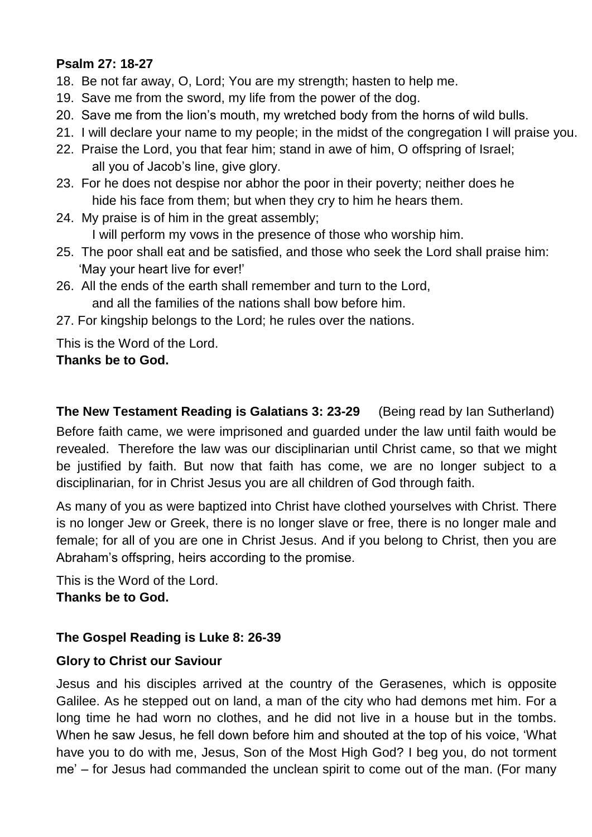#### **Psalm 27: 18-27**

- 18. Be not far away, O, Lord; You are my strength; hasten to help me.
- 19. Save me from the sword, my life from the power of the dog.
- 20. Save me from the lion's mouth, my wretched body from the horns of wild bulls.
- 21. I will declare your name to my people; in the midst of the congregation I will praise you.
- 22. Praise the Lord, you that fear him; stand in awe of him, O offspring of Israel; all you of Jacob's line, give glory.
- 23. For he does not despise nor abhor the poor in their poverty; neither does he hide his face from them; but when they cry to him he hears them.
- 24. My praise is of him in the great assembly; I will perform my vows in the presence of those who worship him.
- 25. The poor shall eat and be satisfied, and those who seek the Lord shall praise him: 'May your heart live for ever!'
- 26. All the ends of the earth shall remember and turn to the Lord, and all the families of the nations shall bow before him.
- 27. For kingship belongs to the Lord; he rules over the nations.

This is the Word of the Lord.

## **Thanks be to God.**

**The New Testament Reading is Galatians 3: 23-29** (Being read by Ian Sutherland) Before faith came, we were imprisoned and guarded under the law until faith would be revealed. Therefore the law was our disciplinarian until Christ came, so that we might be justified by faith. But now that faith has come, we are no longer subject to a disciplinarian, for in Christ Jesus you are all children of God through faith.

As many of you as were baptized into Christ have clothed yourselves with Christ. There is no longer Jew or Greek, there is no longer slave or free, there is no longer male and female; for all of you are one in Christ Jesus. And if you belong to Christ, then you are Abraham's offspring, heirs according to the promise.

This is the Word of the Lord. **Thanks be to God.**

## **The Gospel Reading is Luke 8: 26-39**

# **Glory to Christ our Saviour**

Jesus and his disciples arrived at the country of the Gerasenes, which is opposite Galilee. As he stepped out on land, a man of the city who had demons met him. For a long time he had worn no clothes, and he did not live in a house but in the tombs. When he saw Jesus, he fell down before him and shouted at the top of his voice, 'What have you to do with me, Jesus, Son of the Most High God? I beg you, do not torment me' – for Jesus had commanded the unclean spirit to come out of the man. (For many